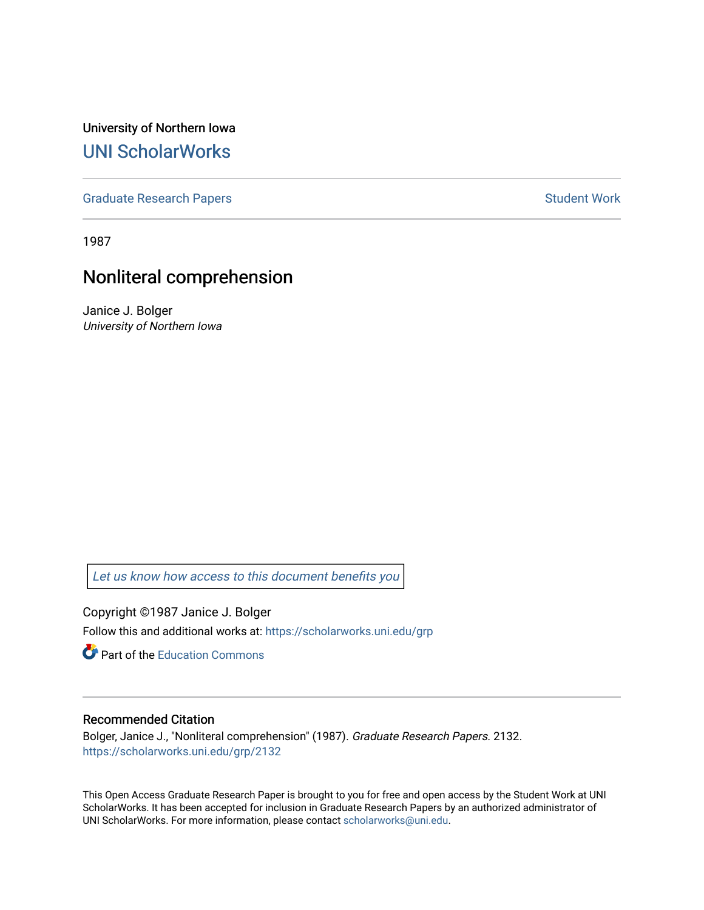University of Northern Iowa [UNI ScholarWorks](https://scholarworks.uni.edu/) 

[Graduate Research Papers](https://scholarworks.uni.edu/grp) **Student Work** Student Work

1987

# Nonliteral comprehension

Janice J. Bolger University of Northern Iowa

[Let us know how access to this document benefits you](https://scholarworks.uni.edu/feedback_form.html) 

Copyright ©1987 Janice J. Bolger Follow this and additional works at: [https://scholarworks.uni.edu/grp](https://scholarworks.uni.edu/grp?utm_source=scholarworks.uni.edu%2Fgrp%2F2132&utm_medium=PDF&utm_campaign=PDFCoverPages) 

**C** Part of the [Education Commons](http://network.bepress.com/hgg/discipline/784?utm_source=scholarworks.uni.edu%2Fgrp%2F2132&utm_medium=PDF&utm_campaign=PDFCoverPages)

# Recommended Citation

Bolger, Janice J., "Nonliteral comprehension" (1987). Graduate Research Papers. 2132. [https://scholarworks.uni.edu/grp/2132](https://scholarworks.uni.edu/grp/2132?utm_source=scholarworks.uni.edu%2Fgrp%2F2132&utm_medium=PDF&utm_campaign=PDFCoverPages) 

This Open Access Graduate Research Paper is brought to you for free and open access by the Student Work at UNI ScholarWorks. It has been accepted for inclusion in Graduate Research Papers by an authorized administrator of UNI ScholarWorks. For more information, please contact [scholarworks@uni.edu.](mailto:scholarworks@uni.edu)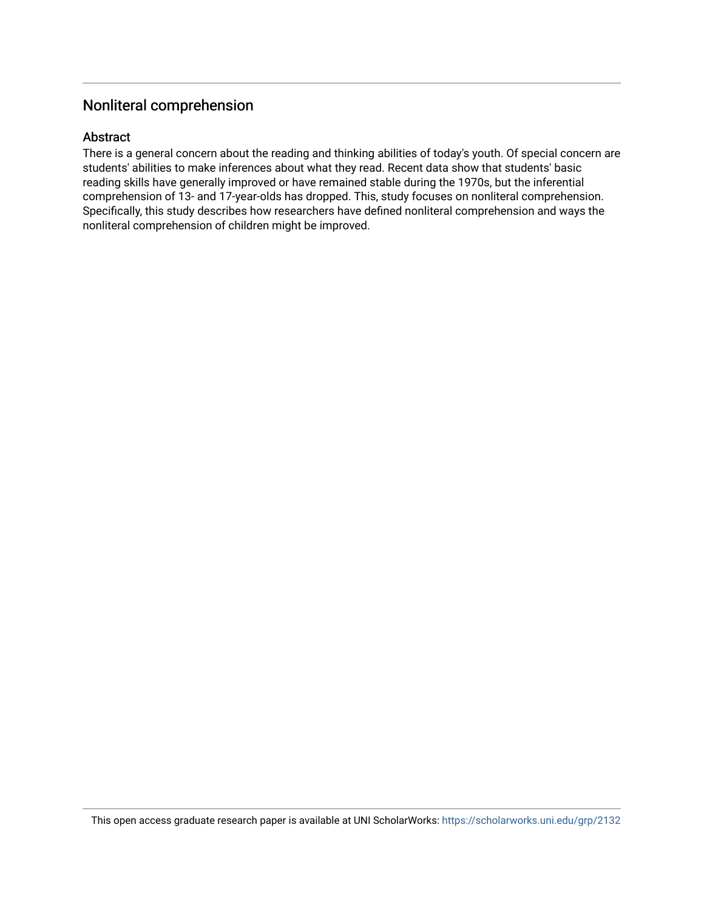# Nonliteral comprehension

# Abstract

There is a general concern about the reading and thinking abilities of today's youth. Of special concern are students' abilities to make inferences about what they read. Recent data show that students' basic reading skills have generally improved or have remained stable during the 1970s, but the inferential comprehension of 13- and 17-year-olds has dropped. This, study focuses on nonliteral comprehension. Specifically, this study describes how researchers have defined nonliteral comprehension and ways the nonliteral comprehension of children might be improved.

This open access graduate research paper is available at UNI ScholarWorks: <https://scholarworks.uni.edu/grp/2132>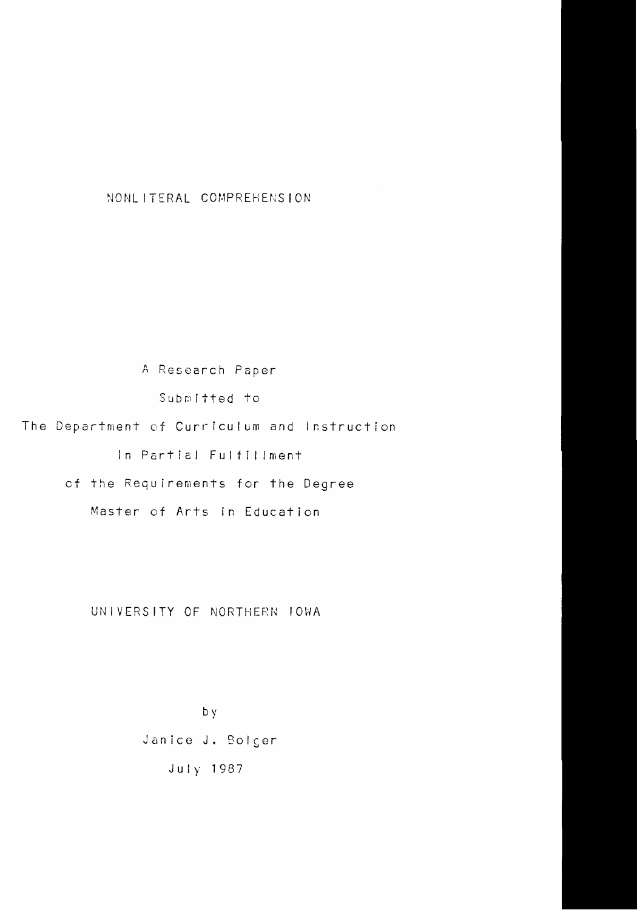NONLITERAL COMPREHENSION

A Research Paper Submitted to The Department of Currfculum and instruction In Pcrticl Fulfillment cf the Requirements for the Degree Master of Arts in Education

UNIVERSITY OF NORTHERN IOWA

by Janice J. Bolger July 1987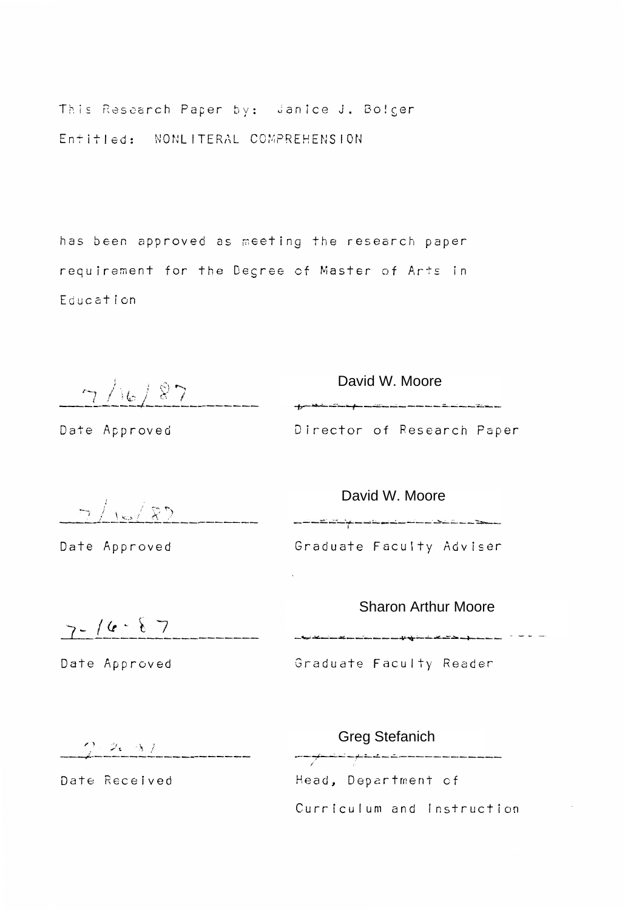This Research Paper by: Janice J. Bolger Entitled: NONLITERAL COMPREHENSION

has been approved as meeting the research paper requirement for the Desree cf Master of Arts in Education

 $\begin{array}{c|c|c|c|c|c} \hline \begin{array}{c} \mathbf{\mathcal{D}} & \mathbf{\mathcal{D}} & \mathbf{\mathcal{D}} & \mathbf{\mathcal{D}} & \mathbf{\mathcal{D}} & \mathbf{\mathcal{D}} & \mathbf{\mathcal{D}} & \mathbf{\mathcal{D}} & \mathbf{\mathcal{D}} & \mathbf{\mathcal{D}} & \mathbf{\mathcal{D}} & \mathbf{\mathcal{D}} & \mathbf{\mathcal{D}} & \mathbf{\mathcal{D}} & \mathbf{\mathcal{D}} & \mathbf{\mathcal{D}} & \mathbf{\mathcal{D}} & \mathbf{\mathcal{D}} & \mathbf{\mathcal{D}} & \mathbf$ 

Date Approved

Director of Research Paper

Date Approved

Graduate Faculty Adviser  $\frac{1}{2} \int \frac{1}{2} \sqrt{\frac{2}{2}} \int \frac{1}{2} \int \frac{1}{2} \int \frac{1}{2} \int \frac{1}{2} \int \frac{1}{2} \int \frac{1}{2} \int \frac{1}{2} \int \frac{1}{2} \int \frac{1}{2} \int \frac{1}{2} \int \frac{1}{2} \int \frac{1}{2} \int \frac{1}{2} \int \frac{1}{2} \int \frac{1}{2} \int \frac{1}{2} \int \frac{1}{2} \int \frac{1}{2} \int \frac{1}{2} \int \frac{1}{2} \int \frac{1}{2} \int \frac{1$ 

Sharon Arthur Moore<br>  $7 - 16 - 87$ 

Graduate Faculty Reader

 $2.2.37$ 

Date Approved

Date Received

Head, Department of Curriculum and Instruction Greg Stefanich<br>————————————————————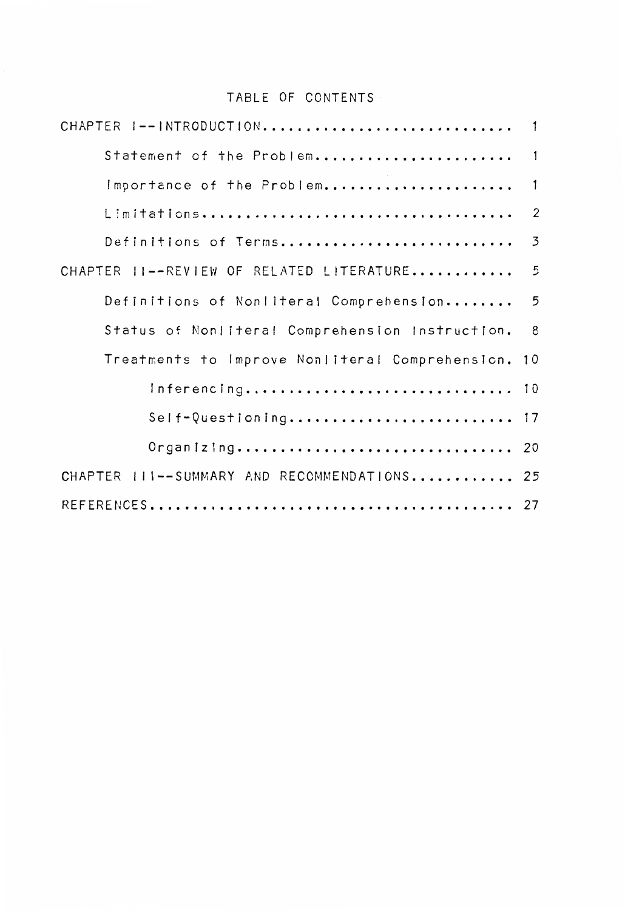# TABLE OF CONTENTS

| CHAPTER I--INTRODUCTION                         | $\overline{\phantom{a}}$ |
|-------------------------------------------------|--------------------------|
| Statement of the Problem 1                      |                          |
| Importance of the Problem                       | $\overline{1}$           |
|                                                 | $\overline{2}$           |
| Definitions of Terms                            | $\overline{3}$           |
| CHAPTER II--REVIEW OF RELATED LITERATURE        | 5                        |
| Definitions of Nonliteral Comprehension 5       |                          |
| Status of Nonliteral Comprehension Instruction. | 8                        |
| Treatments to Improve Nonliteral Comprehension. | 10                       |
| Inferencing 10                                  |                          |
| Self-Questioning 17                             |                          |
| Organizing 20                                   |                          |
| CHAPTER III--SUMMARY AND RECOMMENDATIONS 25     |                          |
|                                                 |                          |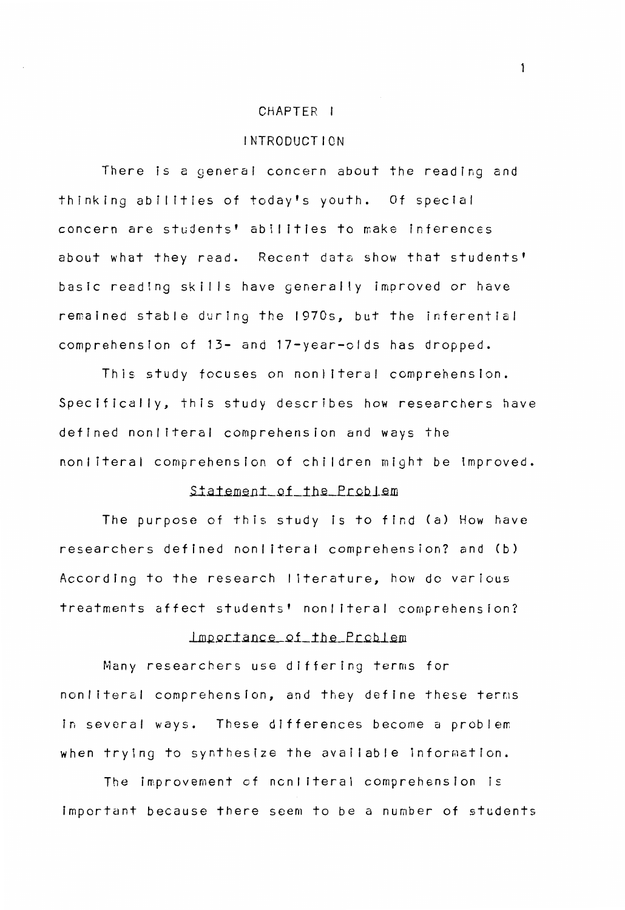#### CHAPTER I

#### INTRODUCTION

There is a general concern about the reading and thinking abilities of today's youth. Of special concern are students' abilities to make inferences about what they read. Recent data show that students' basic reading skills have generally improved or have remained stable during the 1970s, but the inferential comprehension of 13- and 17-year-olds has dropped.

This study focuses on nonliteral comprehension. Specifically, this study describes how researchers have defined nonliteral comprehension and ways the nonliteral comprehension of children might be improved •

## Statement of the Problem

The purpose of this study is to find (a) How have researchers defined nonliteral comprehension? and (b) According to the research I iterature, how do various treatments affect students' nonliteral comprehension?

# $L$ mportance of the Problem

Many researchers use differing terms for non literal comprehension, and they define these terms in several ways. These differences become a problem when trying to synthesize the available information.

The improvement of nonliteral comprehension is Important because there seem to be a number of students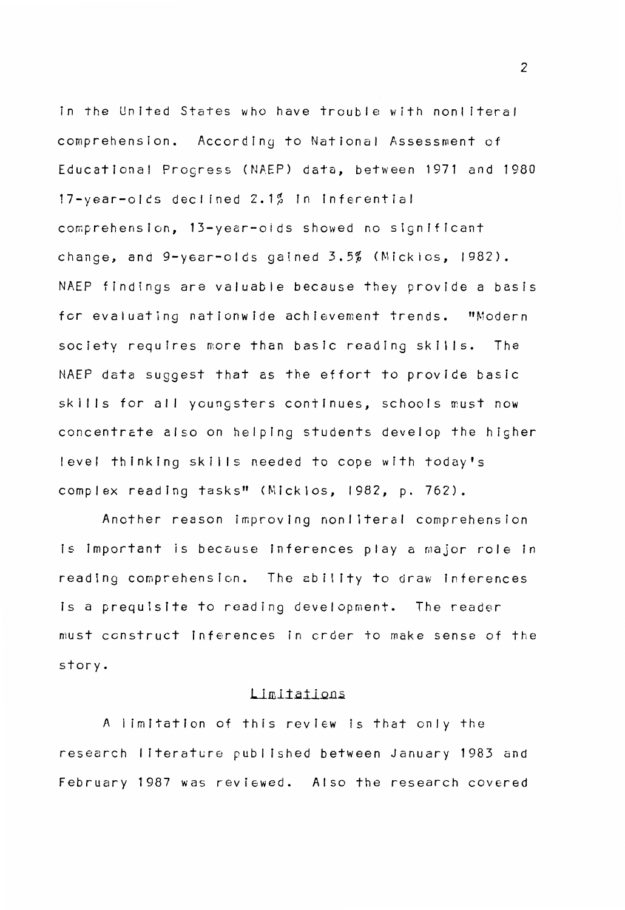in the United States who have trouble with nonliteral comprehension. According to National Assessment of Educational Progress (NAEP) data, between 1971 and 1980 17-year-olcs declined 2.1% in inferential comprehension, 13-year-olds showed no significant change, and 9-year-olds gained 3.5% (Micklos, 1982). NAEP findings are valuable because they provide a basis for evaluating nationwide achievement trends. "Modern society requires more than basic reading skills. The NAEP data suggest that as the effort to provide basic skills for all youngsters continues, schools must now concentrate also on helping students develop the higher level thinking skills needed to cope with today's complex reading tasks" (Micklos, 1982, p. 762).

Another reason improving nonliteral comprehension is important is because inferences play a major role in reading comprehension. The ability to draw inferences is a prequisite to reading development. The reader must construct inferences in crder to make sense of the story.

#### Limitations

A I imitation of this review is that only the research literature published between January 1983 and February 1987 was reviewed. Also the research covered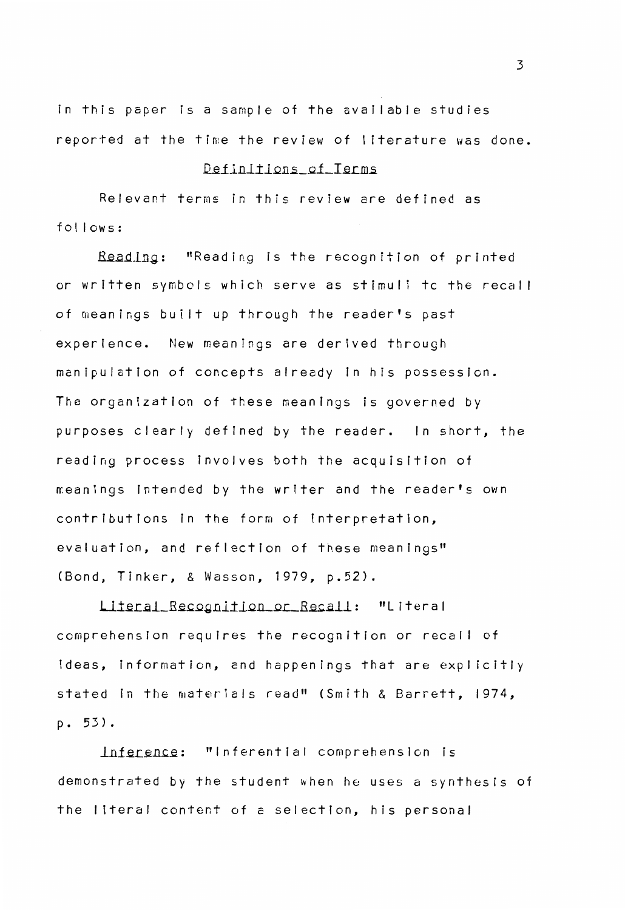In this paper ls a sample of the available studies reported at the time the review of literature was done.

## Definitions of Terms.

Relevant terms in this review are defined as follows:

Reading: "Reading is the recognition of printed or written symbols which serve as stimuli tc the recal I of meanings built up through the reader's past experience. New meanings are derived through manipulation of concepts already In his possession. The organization of these meanings is governed by purposes clearly defined by the reader. In short, the reading process involves both the acquisition of meanings intended by the writer and the reader's own contributions in the form of interpretation, evaluation, and reflection of these meanings" (Bond, Tinker, & Wasson, 1979, p.52).

Literal\_Recognition\_or\_Recall: "Literal comprehension requires the recognition or recal I of ideas, information, and happenings that are explicitly stated in the materials read" (Smith & Barrett, 1974, **p. 53) .** 

Inference: "Inferential comprehension is demonstrated by the student when he uses a synthesls of the literal content of a selection, his personal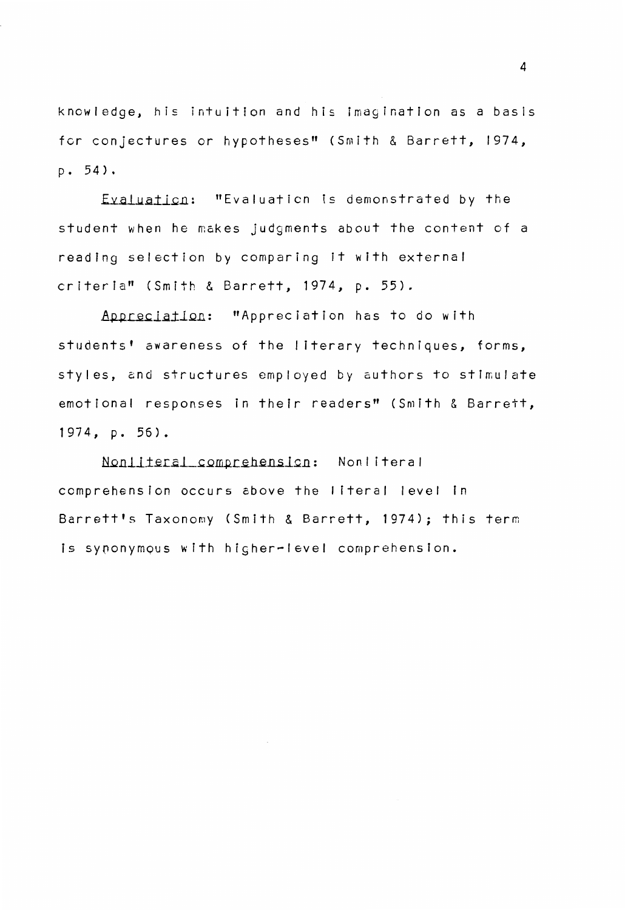knowledge, his intuition and his imagination as a basis for conjectures or hypotheses" (Smith & Barrett, 1974,  $D. 54$ .

Eyaluation: "Evaluation is demonstrated by the student when he makes judgments about the content of a reading selection by comparing it with external criteria" (Smith & Barrett, 1974, p. 55).

Appreciation: "Appreciation has to do with students' awareness of the I iterary techniques, forms, styles, and structures employed by authors to stimulate emotional responses in their readers" (Smith & Barrett, 1974, p. 56).

Nonliteral\_comprehension: Nonliteral comprehension occurs above the literal level in Barrett's Taxonomy (Smith & Barrett, 1974); this term is synonymous with higher-level comprehension.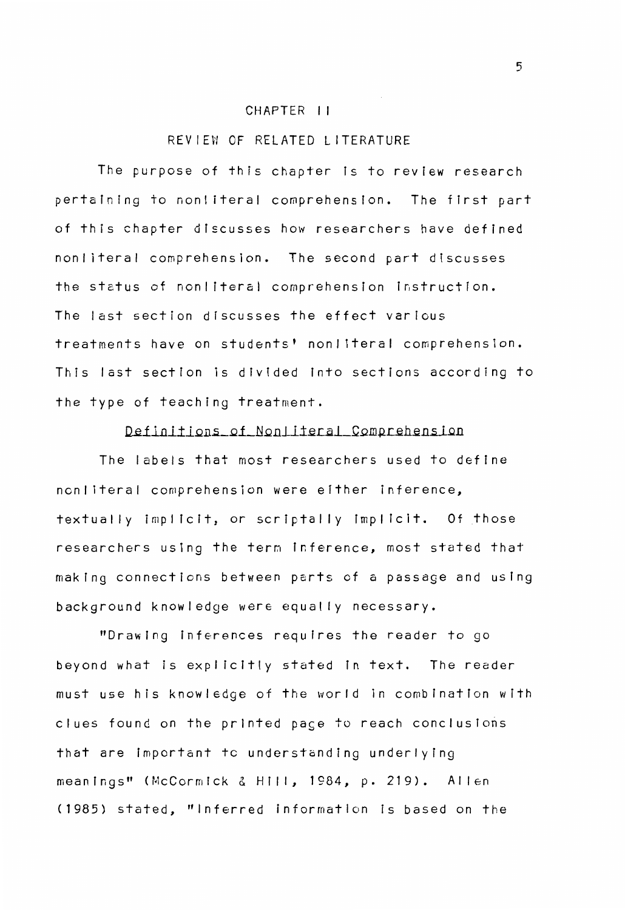#### CHAPTER I I

## REVIEW CF RELATED LITERATURE

The purpose of this chapter Is to review research pertaining to nonliteral comprehension. The first part of this chapter discusses how researchers have defined non I iteral comprehension. The second part discusses the status of nonliteral comprehension instruction. The last section discusses the effect various treatments have on students' nonliteral comprehension. This last section is divided fnto sections according to the type of teaching treatment.

## Definitions of Nonliteral Comprehension

The labels that most researchers used to define nonliteral comprehension were either inference, textually implicit, or scriptally implicit. Of those researchers using the term inference, most stated that making connections between parts of a passage and using background knowledge were equally necessary.

"Drawing inferences requires the reader to go beyond what is explicitly stated in text. The reader must use his knowledge of the world in combination with clues found on the printed page to reach conclusions that are important to understanding underlying meanings" {McCormick & Hill, 1984, p. 219). Allen {1985) stated, "Inferred information Is based on the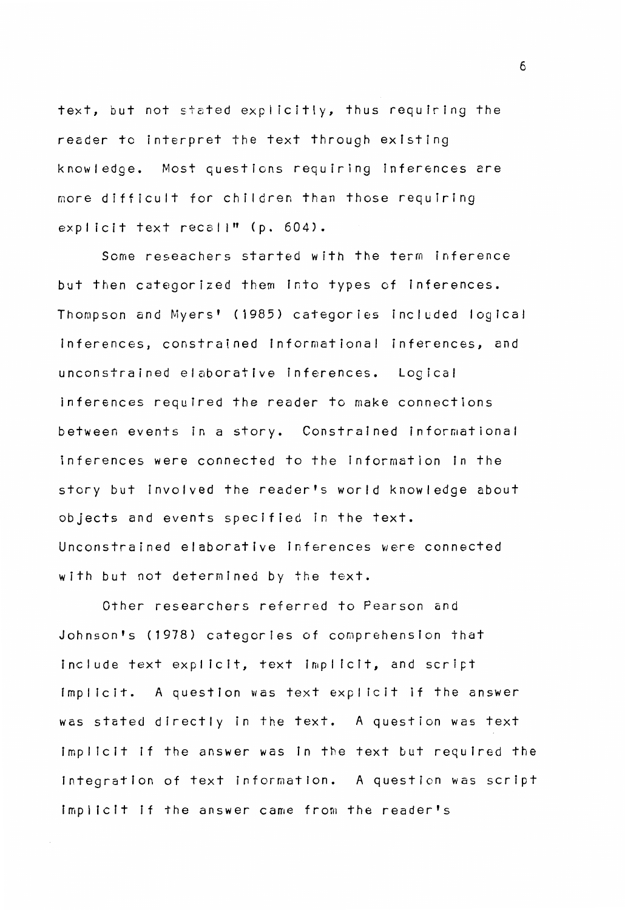text, but not 5tated explicitly, thus requiring the reader to interpret the text through existing knowledge. Most questions requiring inferences are more difficult for children than those requiring  $explicit$  text recall" ( $p. 604$ ).

Some reseachers started with the term inference but then categorized them into types of inferences. Thompson and Myers' (1985) categories included logical inferences, constrained informational inferences, and unconstrained elaborative inferences. Logical inferences required the reader to make connections between events in a story. Constrained informational inferences were connected to the Information in the story but involved the reader's world knowledge about objects and events specified in the text. Unconstrained elaborative inferences were connected with but not determined by the text.

Other researchers referred to Pearson and Johnson's (1978) categories of comprehension that include text explicit, text implicit, and script implicit. A question was text explicit if the answer was stated directly in the text. A question was text implicit if the answer was in the text but required the integration of text information. A question was script implicit if the answer came from the reader's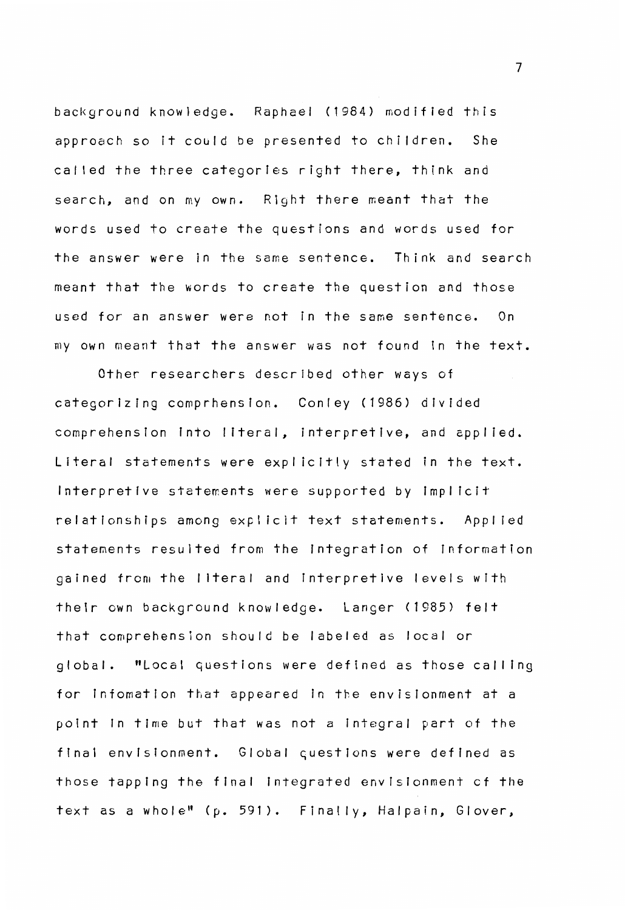background knowledge. Raphael (1984) modified this approach so it could be presented to children. She called the three categories right there, think and search, and on my own. Right there meant that the words used to create the questions and words used for the answer were in the same sentence. Think and search meant that the words to create the question and those used for an answer were not in the same sentence. On my own meant that the answer was not found in the text.

Other researchers described other ways of categorizing comprhenslon. Conley (1986) divided comprehension into literal, interpretive, and applied. Literal statements were explicitly stated in the text. Interpretive statements were supported by implicit relationships among explicit text statements. Applied statements resulted from the Integration of information gained from the I lteral and fnterpretive levels with their own background knowledge. Langer (1985) felt that comprehension should be labeled as local or global. "Local questions were defined as those calling for lnfomatlon that appeared in the envisionment at a point in time but that was not a integral part of the final envlsionment. Global questions were defined as those tapping the final Integrated envislonment cf the text as a whole" (p. 591). Finally, Halpain, Glover,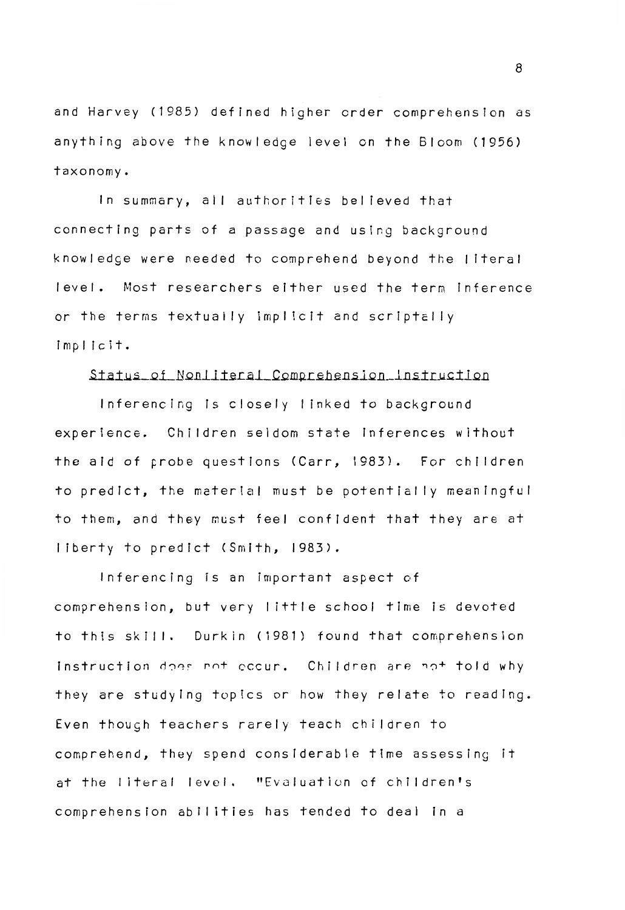and Harvey (1985) defined higher crder comprehension as anything above the knowledge level on the Bloom (1956) taxonomy.

In summary, all authorities believed that connecting parts of a passage and using background know I edge were needed to comprehend beyond the I itera <sup>I</sup> level. Most researchers either used the term inference or the terms textually implicit and scriptally implicit.

#### Status of Nonliteral Comprehension Instruction

Inferencing is closely linked to background experience. Children seldom state inferences without the aid of probe questions (Carr, 1983). For children to predict, the material must be potentially meaningful to them, and they must feel confident that they are at I iberty to predict (Smith, 1983).

Inferencing is an important aspect of comprehension, but very I ittle school time is devoted to this skill. Durkin (1981) found that comprehension Instruction does not eccur. Children are not told why they are studying topics or how they relate to reading. Even though teachers rarely teach children to comprehend, they spend considerable tfme assessing it at the literal level. "Evaluation of children's comprehension abilities has tended to deal in a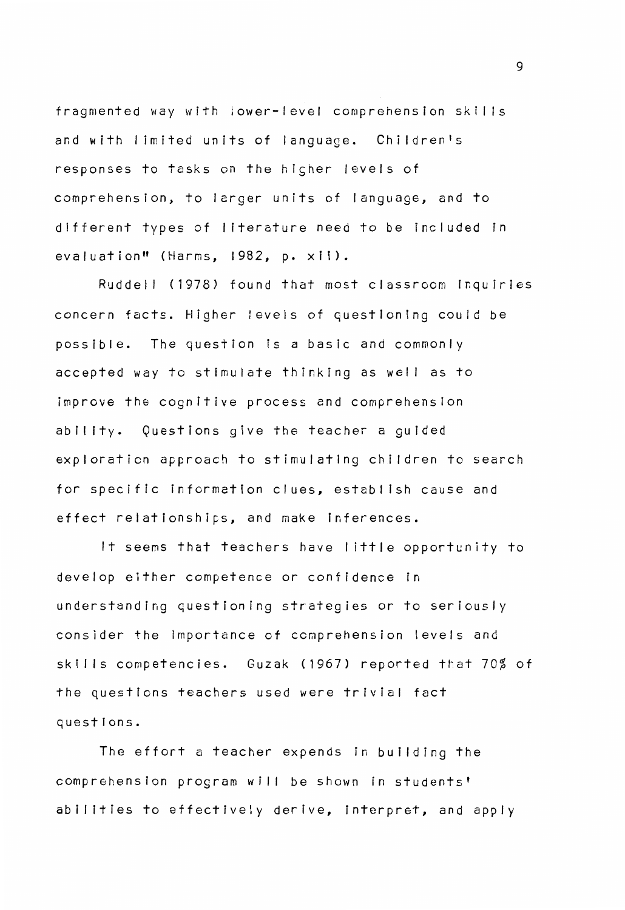fragmented way with lower-level comprehension skills and with limited units of language. Children's responses to tasks on the higher levels of comprehension, to lerger units of language, and to different types of I iterature need to be included in evaluation" (Harms, 1982, p. xii).

Ruddell (1978) found that most classroom Inquiries concern facts. Higher levels of questioning could be possible. The question is a basic and commonly accepted way to stimulate thinking as well as to improve the cognitive process and comprehension ability. Questions give the teacher a guided exploraticn approach to stimulating children to search for specific information clues, establish cause and effect relationships, and make Inferences.

It seems that teachers have I ittle opportunity to develop either competence or confidence in understanding questioning strategies or to seriously consider the Importance of comprehension levels and skills competencies. Guzak (1967) reported that 70% of the questions teachers used were trivial fact questions.

The effort a teacher expends in building the comprehension program will be shown in students' abilitles to effectively derive, Interpret, and apply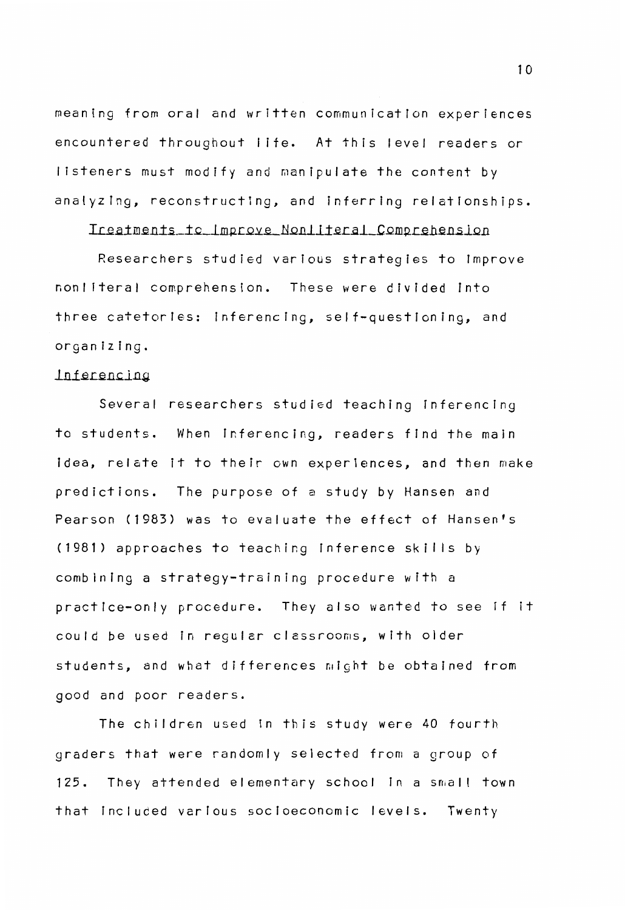meaning from oral and written communication experiences encountered throughout life. At this level readers or listeners must modify and manipulate the content by analyzing, reconstructing, and inferring relationships.

## Ireatments to Improve Nonliteral Comprehension

Researchers studied various strategies to improve non Ii tera I comprehension. These were divided Into three catetories: inferencing, self-questioning, and organizing.

## lnferencing

Several researchers studied teaching inferencing to students. When inferencing, readers find the main idea, relate it to their own experiences, and then make predictions. The purpose of a study by Hansen and Pearson (1983) was to evaluate the effect of Hansen's (1981) approaches to teaching inference skills by combining a strategy-training procedure with a practice-only procedure. They also wanted to see if it could be used in regular classrooms, with older students, and what differences might be obtained from good and poor readers.

The children used in this study were 40 fourth graders that were randomly selected from a group of 125. They attended elementary school in a small town that included various socioeconomic levels. Twenty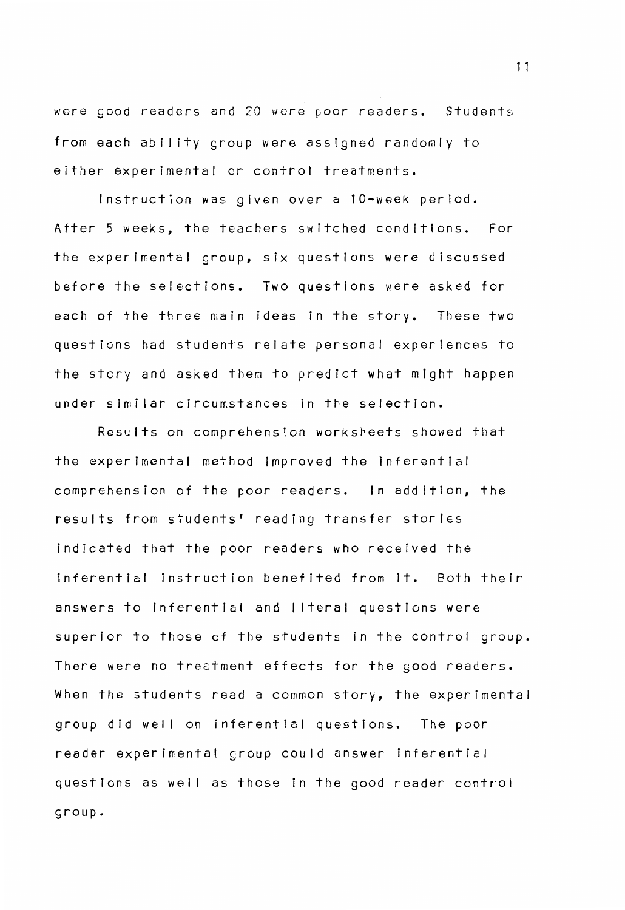were good readers and 20 were poor readers. Students from each ability group were assigned randomly to either experimental or control treatments.

Instruction was given over a 10-week period. After 5 weeks, the teachers switched conditions. For the experimental group, six questions were discussed before the selections. Two questions were asked for each of the three main ideas in the story. These two questions had students relate personal experiences to the story and asked them to predict what might happen under similar circumstances in the selection.

Results on comprehension worksheets showed that the experimental method improved the inferential comprehension of the poor readers. In addition, the results from students' reading transfer stories indicated that the poor readers who received the inferential instruction benefited from it. Both their answers to inferential and I iteral questions were superior to those of the students in the control group. There were no treatment effects for the good readers. When the students read a common story, the experimental group did well on inferential questions. The poor reader experimental group could answer inferential questions as well as those in the good reader control sroup.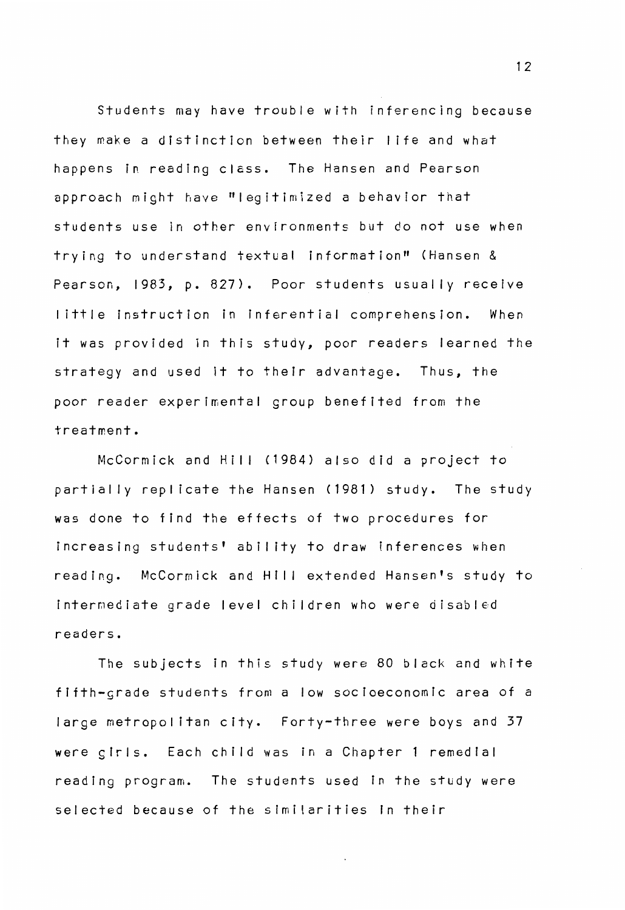Students may have trouble with inferencing because they make a distinction between their I ife and what happens in reading class. The Hansen and Pearson approach might have "legitimized a behavior that students use in other environments but do not use when trying to understand textual information" (Hansen & Pearson, 1983, p. 827). Poor students usually receive I ittle instruction in fnferential comprehension. When it was provided in this study, poor readers learned the strategy and used it to their advantage. Thus, the poor reader experimental group benefited from the treatment.

McCormick and Hill (1984) also did a project to partially replicate the Hansen (1981) study. The study was done to find the effects of two procedures for increasing students' ability to draw inferences when reading. McCormick and Hill extended Hansen's study to intermediate grade level children who were disabled readers.

The subjects in this study were 80 black and white fifth-crade students from a low socioeconomic area of a large metropolitan city. Forty-three were boys and 37 **were** glrls. Each child was in a Chapter **1** remedlal reading program. The students used in the study were selected because of the similarities in their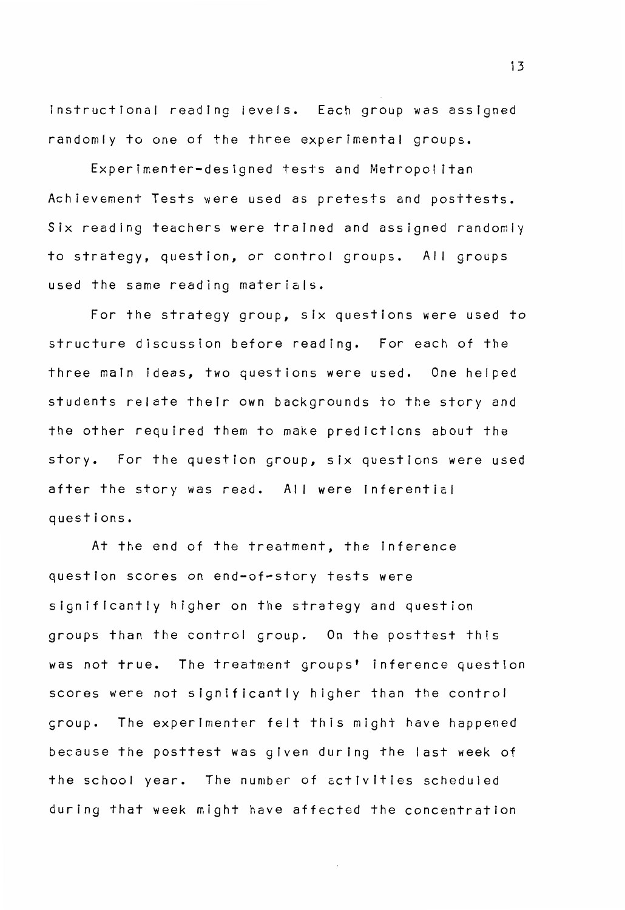instructional reading ievels. Each group was asslgned randomly to one of the three experimental groups.

Experimenter-designed tests and Metropolitan Achievement Tests were used as pretests and posttests. Six reading teachers were trained and assigned randomly to strategy, question, or control groups. All groups used the same reading materials.

For the strategy group, six questions were used to structure discussion before reading. For each of the three main ideas, two questions were used. One helped students relate their own backgrounds to the story and the other required them to make predictions about the story. For the question group, six questions were used after the story was read. All were inferential questions.

At the end of the treatment, the Inference question scores on end-of-story tests were significantly higher on the strategy and question groups than the control group. On the posttest this was not true. The treatment groups' inference question scores were not significantly higher than the control group. The experimenter felt this might have happened because the posttest was given during the last week of the school year. The number of activities scheduled during that week might have affected the concentration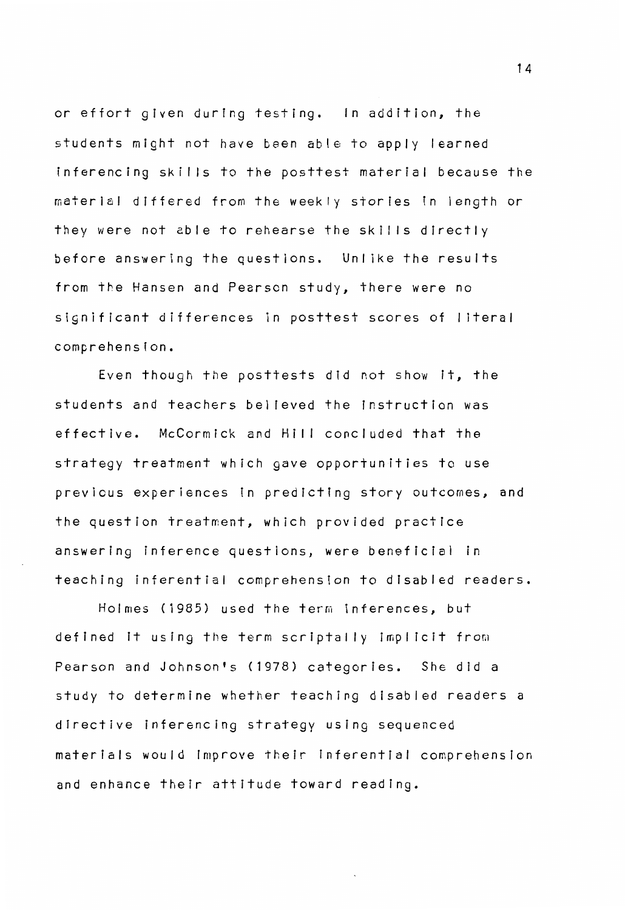or effort gfven during testing. In addition, the students might not have been able to apply learned inferencing skills to the posttest material because the materfal differed from the weekly stories fn length or they were not able to rehearse the skills directly before answering the questions. Unlike the results from the Hansen and Pearson study, there were no significant differences in posttest scores of I iteral comprehension.

Even though the posttests did not show it, the students and teachers bel feved the instruction was effective. McCormick and Hill concluded that the strategy treatment which gave opportunities to use previous experiences in predictfng story outcomes, and the question treatment, which provided practice answering inference questions, were beneficial in teaching inferential comprehension to disabled readers.

Holmes (1985) used the term inferences, but defined it using the term scriptally implicit from Pearson and Johnson's (1978) categories. She did a study to determine whether teaching disabled readers a directive inferencing strategy using sequenced materials would fmprove their inferential comprehensfon and enhance their attitude toward reading.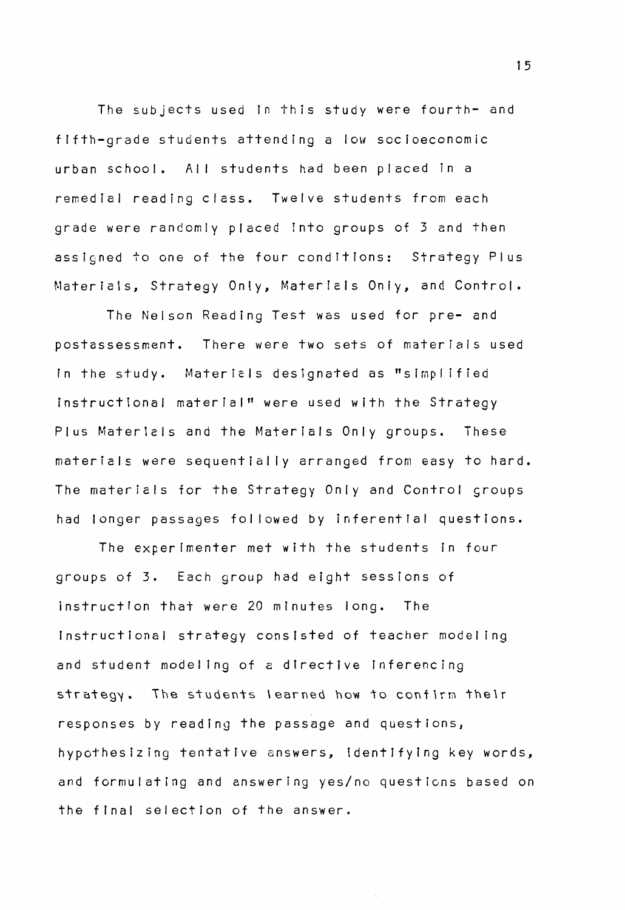The subjects used in this study were fourth- and fffth-grade students attending a fow socioeconomic urban school. All students had been placed in a remedial reading class. Twelve students from each grade were randomly placed into groups of 3 and then assigned to one of the four conditfons: Strategy Plus Materials, Strategy Only, Materfels Only, and Control.

The Nelson Reading Test was used for pre- and postassessment. There were two sets of materials used fn the study. Matericls designated as "simplified instructional material" were used with the Strategy Plus Materiels and the Materials Only groups. These materials were sequentially arranged from easy to hard. The materials for the Strategy Only and Control groups had longer passages followed by inferential questions.

The experimenter met with the students in four groups of 3. Each group had eight sessions of instruction that were 20 minutes long. The Instructional strategy consisted of teacher modeling and student model Ing of a directive inferencing strategy. The students learned how to confirm their responses by reading the passage and questions, hypothesizing tentative answers, identifyfng key words, and formulating and answering yes/no questions based on the final selection of the answer.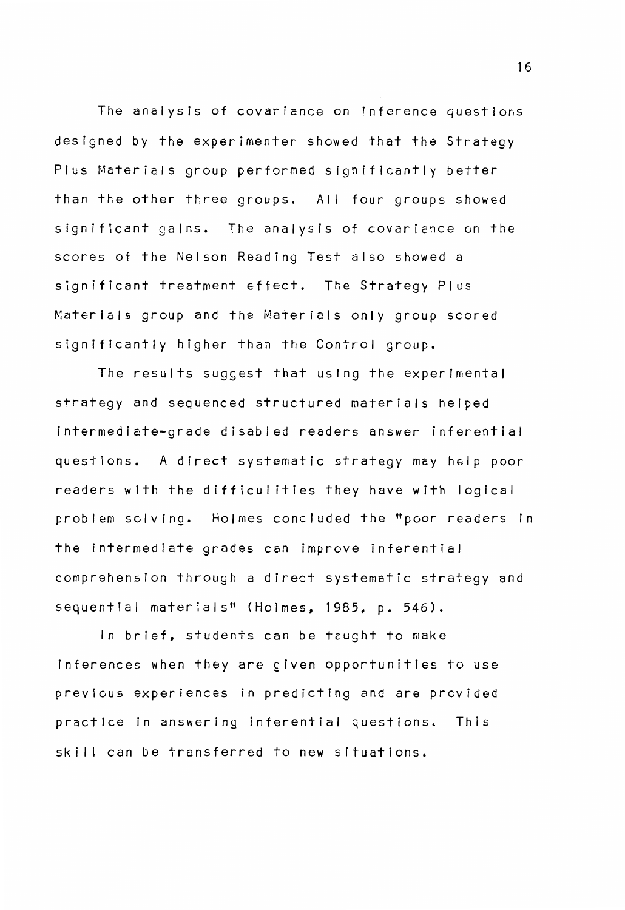The analysis of covariance on inference questions designed by the experimenter showed that the Strategy Plus Materials group performed significantly better than the other three groups. All four groups showed significant gains. The analysis of covariance on the scores of the Nelson Reading Test also showed a significant treatment 6ffect. The Strategy Plus Materials group and the Materials only group scored significantly higher than the Control group.

The results suggest that using the experimental strategy and sequenced structured materials helped intermedicte-grade disabled readers answer inferential questions. A direct systematic strategy may help poor readers with the difficul ities they have with logical problem solving. Holmes concluded the "poor readers in the intermediate grades can improve inferential comprehension through a direct systematic strategy and sequential materials" (Holmes, 1985, p. 546).

In brief, students can be taught to make inferences when they are given opportunities to use previcus experiences in predicting and are provided practice in answering inferential questions. This skill can be transferred to new situations.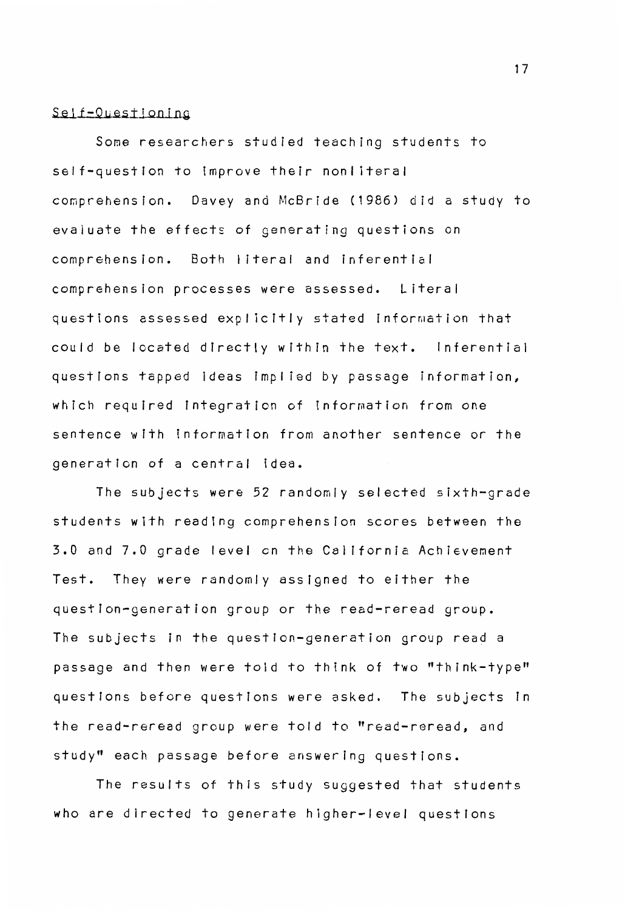#### Self-Questioning

Some researchers studied teaching students to self-question to improve their nonliteral comprehension. Davey and McBride (1986) did a study to evaluate the effects of generating questions on comprehension. Both I iteral and inferential comprehension processes were assessed. Literal questions assessed explicitly stated information that could be located directly within the text. Inferential questions tapped ideas implied by passage information, which required integration of information from one sentence with information from another sentence or the generation of a central idea.

The subjects were 52 randomly selected sixth-grade students with reading comprehension scores between the 3.0 and 7.0 grade level en the California Achievement Test. They were randomly assigned to either the question-generation group or the read-reread group. The subjects in the question-generation group read a passage and then were told to think of two "think-type" questions before questions were asked. The subjects in the read-reread group were told to "read-reread, and study" each passage before answering questions.

The results of this study suggested that students who are directed to generate higher-level questions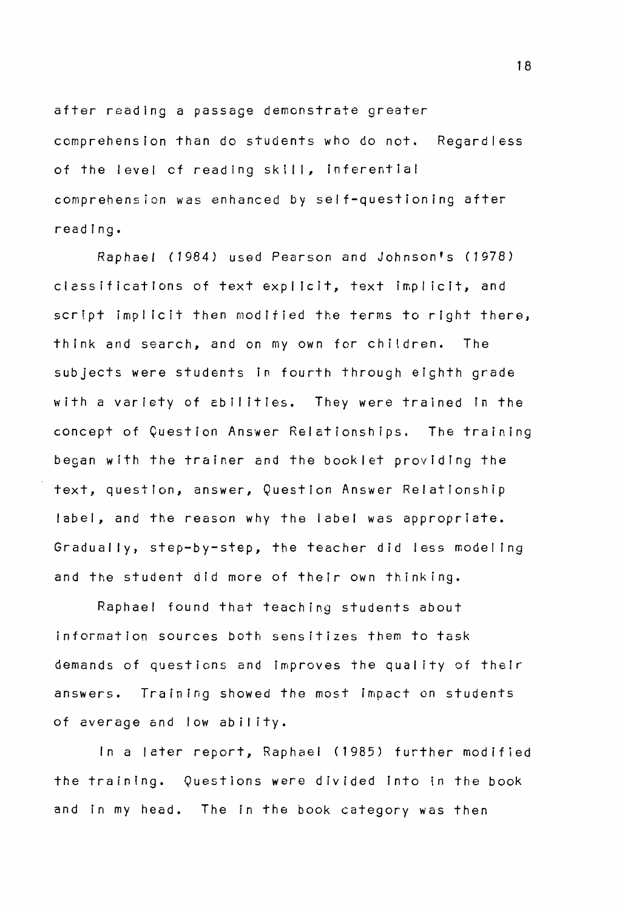after reading a passage demonstrate greater comprehension than do students who do not. Regardless of the level of reading skill, inferential comprehension was enhanced by self-questioning after reading.

Raphael *(1984)* used Pearson and Johnson's *(1978)*  clessifications of text explicit, text implicit, and script implicit then modified the terms to right there, think and search, and on my own for children. The subjects were students In fourth through eighth grade with a variety of abilities. They were trained in the concept of Question Answer Relationships. The training began with the trainer and the booklet providing the text, question, answer, Question Answer Relationship label, and the reason why the label was appropriate. Gradually, step-by-step, the teacher did less modeling and the student did more of their own thinking.

Raphael found that teaching students about information sources both sensitizes them to task demands of questions and improves the quality of their answers. Training showed the most impact on students of average and low ability.

In a later report, Raphael (1985) further modified the training. Questions were divided Into in the book and in my head. The in the book category was then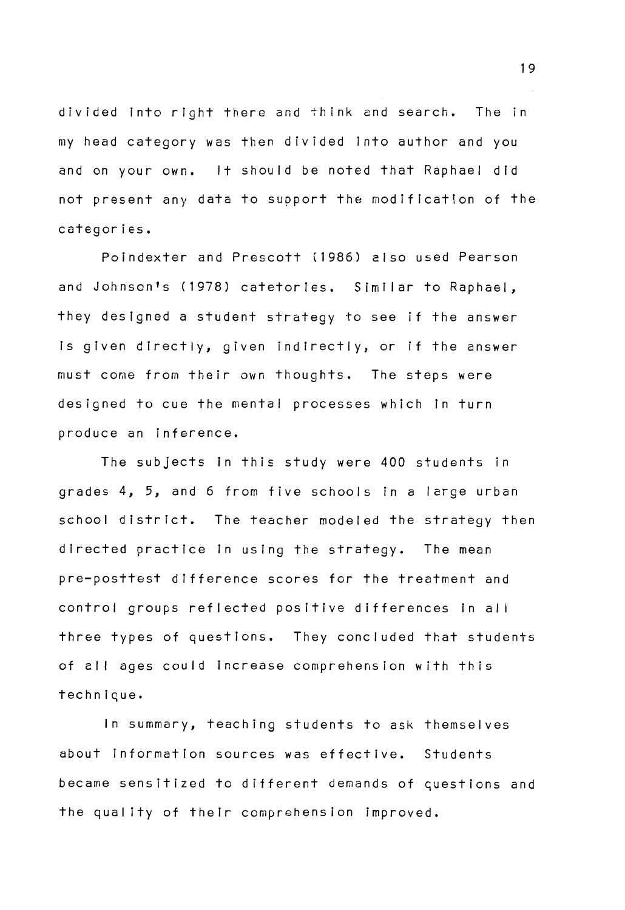divided into right there and think and search. The in my head category was then divided into author and you and on your own. It should be noted that Raphael did not present any data to support the modification of the categories.

Poindexter and Prescott (1986) also used Pearson and Johnson's (1978) catetories. Similar to Raphael, they designed a student strategy to see if the answer is given directly, given indirectly, or if the answer must come from their own thoughts. The steps were designed to cue the mental processes which in turn produce an inference.

The subjects in this study were 400 students in grades 4, 5, and 6 from five schools in a large urban school district. The teacher modeled the strategy then directed practice in using the strategy. The mean pre-posttest difference scores for the treatment and control groups reflected positive differences in all three types of questions. They concluded that students of all ages could increase comprehension with this technique.

In summary, teaching students to ask themselves about information sources was effective. Students became sensitized to different demands of questions and the quality of their comprehension improved.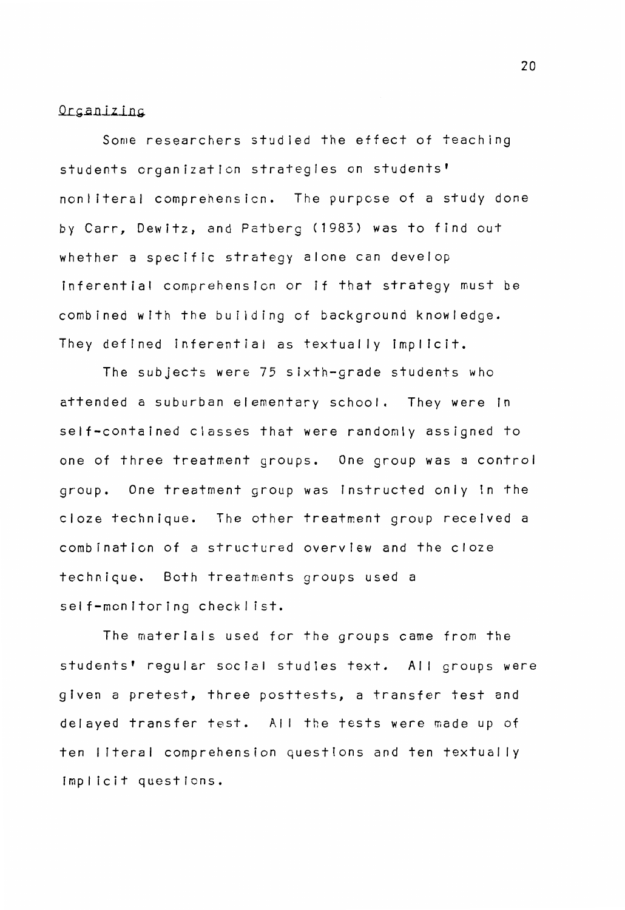#### Orcanizing

Some researchers studied the effect of teaching students organization strategies on students' non Ii teral comprehension. The purpose of a study done by Carr, Dewitz, and Patberg (1983) was to find out whether a specific strategy alone can develop inferential comprehension or if that strategy must be combined with the building of background knowledge. They defined inferential as textually implicit.

The subjects were 75 sixth-grade students who attended a suburban elementary school. They were in self-contained classes that were randomly assigned to one of three treatment groups. One group was a control group. One treatment group was instructed only in the cloze technique. The other treatment group received a combination of a structured overview and the cloze technique. Both treatments groups used a self-monitoring checklist.

The materials used for the groups came from the students' regular social studies text. All groups were given a pretest, three posttests, a transfer test and delayed transfer test. All the tests were made up of ten literal comprehension questions and ten textually imp I icit questfons.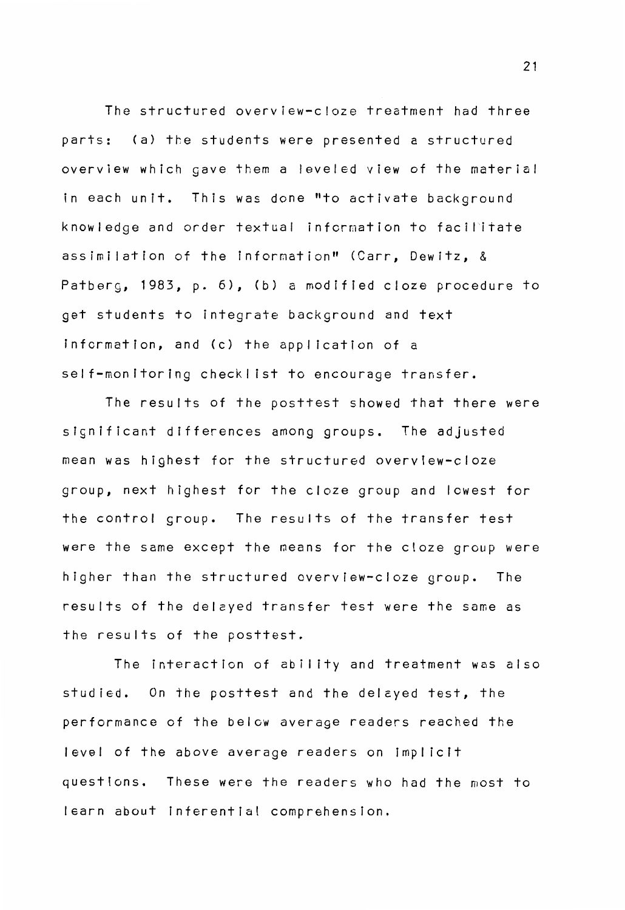The structured overview-c!oze treatment had three parts: (a) the students were presented a structured overview which gave them a leveled view of the material in each unit. This was done "to activate background knowledge and order textual information to facilitate assimilation of the information" (Carr, Dewitz, & Patberg, 1983, p. 6), (b) a modified cloze procedure to get students to integrate background and text information, and (c) the application of a self-monitoring checklist to encourage transfer.

The results of the posttest showed that there were significant differences among groups. The adjusted mean was highest for the structured overview-cloze group, next highest for the cloze group and lowest for the control group. The results of the transfer test were the same except the means for the cloze group were higher than the structured overview-cloze group. The results of the delcyed transfer test were the same as the results of the posttest.

The interaction of ability and treatment was also studied. On the posttest and the delayed test, the performance of the below average readers reached the level of the above average readers on implicit questions. These were the readers who had the most to learn about Inferential comprehension.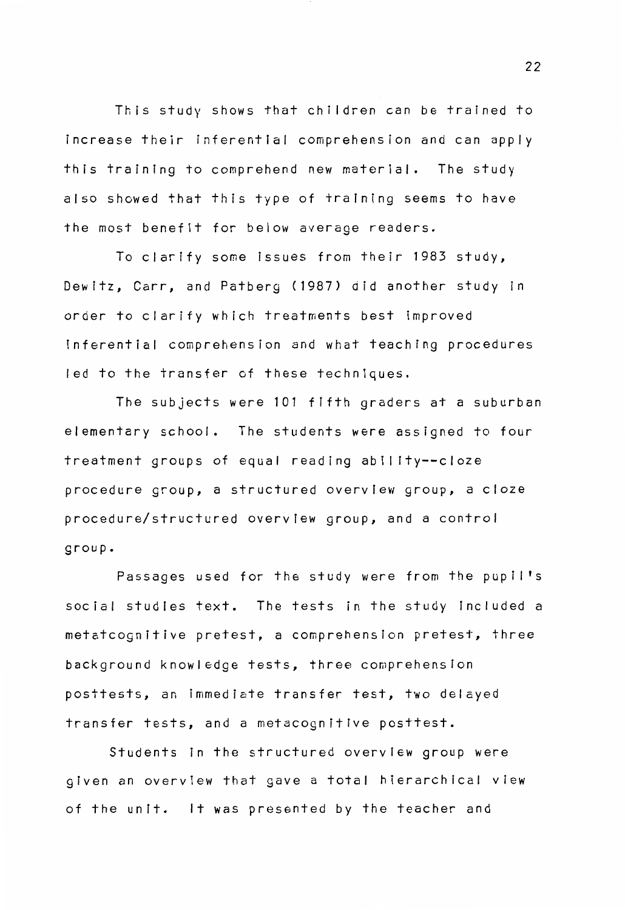This study shows that children can be trained to increase their inferential comprehension and can apply this training to comprehend new materfal. The study also showed that this type of training seems to have the most benefit for below average readers.

To clarify some issues from their 1983 study, Dewitz, Carr, and Patberg (1987) did another study in order to clarify which treatments best improved inferential comprehension and what teaching procedures led to the transfer of these techniques.

The subjects were 101 fifth graders at a suburban elementary school. The students were assigned to four treatment groups of equal reading ability--cloze procedure group, a structured overview group, a cloze procedure/structured overview group, and a control group.

Passages used for the study were from the pupil's social studies text. The tests in the study included a metatcognitive pretest, a comprehension pretest, three background knowledge tests, three comprehension posttests, an immediate transfer test, two delayed transfer tests, and a metacognitlve posttest.

Students in the structured overview group were given an overview that gave a total hierarchical view of the unit. It was presented by the teacher and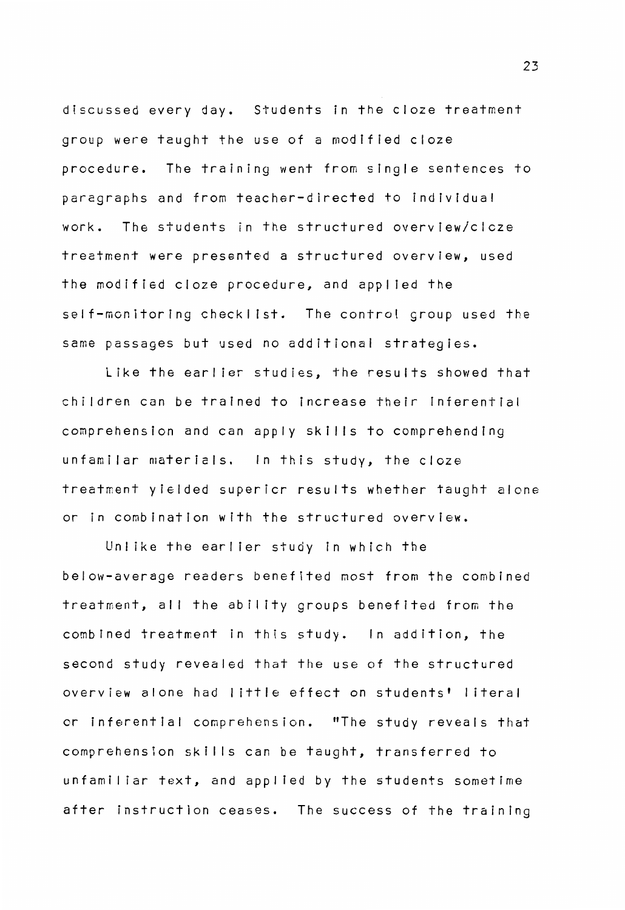discussed every day. Students in the cloze treatment group were taught the use of a modified cloze procedure. The training went from single sentences to paragraphs and from teacher-directed to individual work. The students in the structured overview/clcze treatment were presented a structured overview, used the modified cloze procedure, and applied the self-monitoring checklist. The control group used the same passages but used no additional strategies.

Like the earlier studies, the results showed that children can be trained to increase their inferential comprehension and can apply skills to comprehending unfamilar materials. In this study, the cloze treatment yielded supericr results whether taught alone or in combination with the structured overview.

Unlike the earlier study in which the below-average readers benefited most from the combined treatment, all the ability groups benefited from the combined treatment in this study. In addition, the second study revealed that the use of the structured overview alone had I ittle effect on students' I iteral or inferential comprehension. "The study reveals that comprehension skills can be taught, transferred to unfamiliar text, and applied by the students sometime after instruction ceases. The success of the training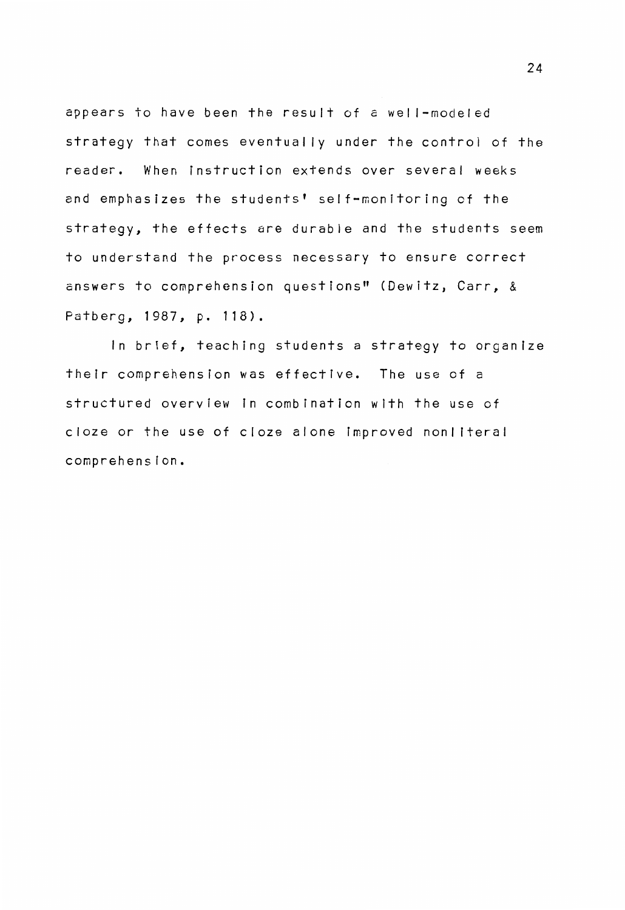appears to have been the result of a well-modeled strategy that comes eventually under the control of the reader. When instruction extends over several weeks and emphasizes the students' self-monitoring of the strategy, the effects are durable and the students seem to understand the process necessary to ensure correct answers to comprehension questions" (Dewitz, Carr, & Patberg, 1987, p. 118).

In brief, teaching students a strategy to organize their comprehension was effective. The use of a structured overview in combination with the use of cloze or the use of cloze alone improved nonliteral comprehension.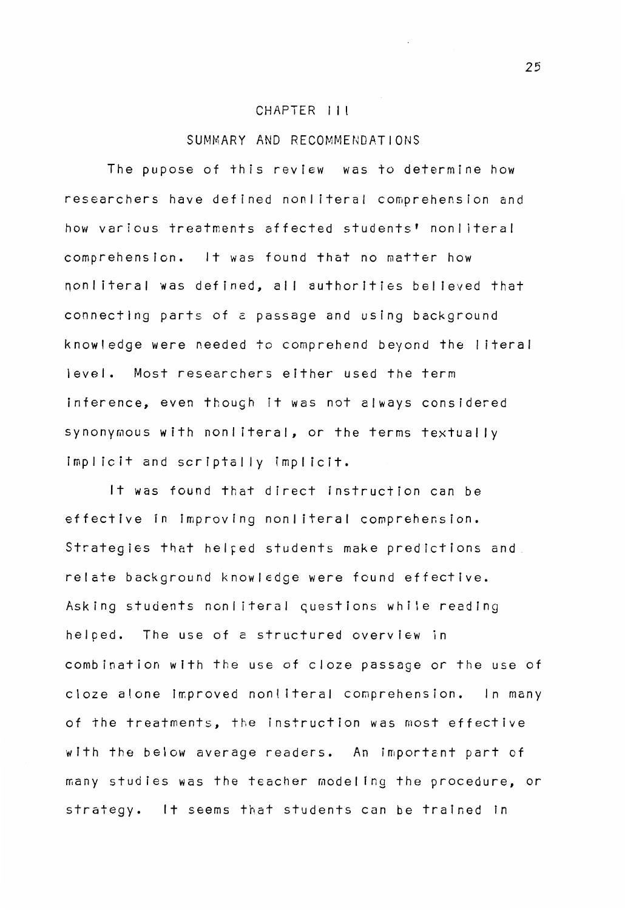#### CHAPTER I I I

#### SUMMARY AND RECOMMENDATIONS

The pupose of this review was to determine how researchers have defined nonliteral comprehension and how various treatments affected students' nonliteral comprehension. It was found that no matter how non literal was defined, all authorities believed that connecting parts of *c* passage and using background know I edge were needed to comprehend beyond the I itera I level. Most researchers either used the term inference, even though it was not always considered synonymous with nonliteral, or the terms textually implicit and scriptally implicit.

It was found that direct instruction can be effective in improving nonliteral comprehension. Strategies that helped students make predictions and relate background knowledge were found effective. Asking students nonliteral questions while reading helped. The use of a structured overview in combination with the use of cloze passage or the use of cloze alone improved nonliteral comprehension. In many of the treatments, the instruction was most effective with the below average readers. An important part of many studies was the teacher modeling the procedure, or strategy. It seems that students can be trained in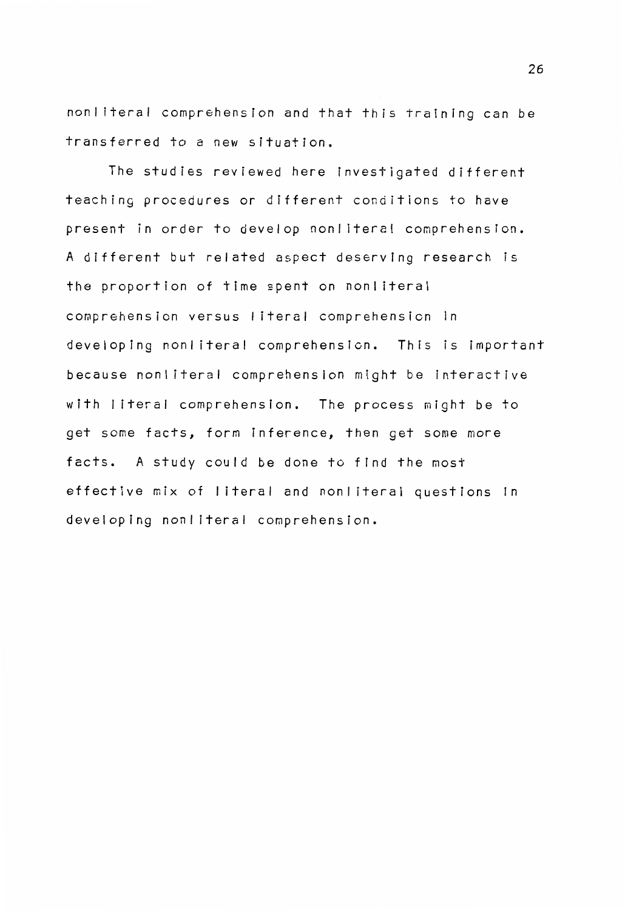nonliteral comprehension and that this training can be transferred to a new situation.

The studies reviewed here investigated different teaching procedures or different conditions to have present in order to develop nonliteral comprehension. A different but related aspect deserving research is the proportion of time spent on nonliteral comprehension versus literal comprehension in developing nonliteral comprehension. This is important because nonliteral comprehension might be interactive with I iteral comprehension. The process might be to get some facts, form inference, then get some more facts. A study could be done to find the most effective mix of literal and nonliteral questions in developing nonliteral comprehension.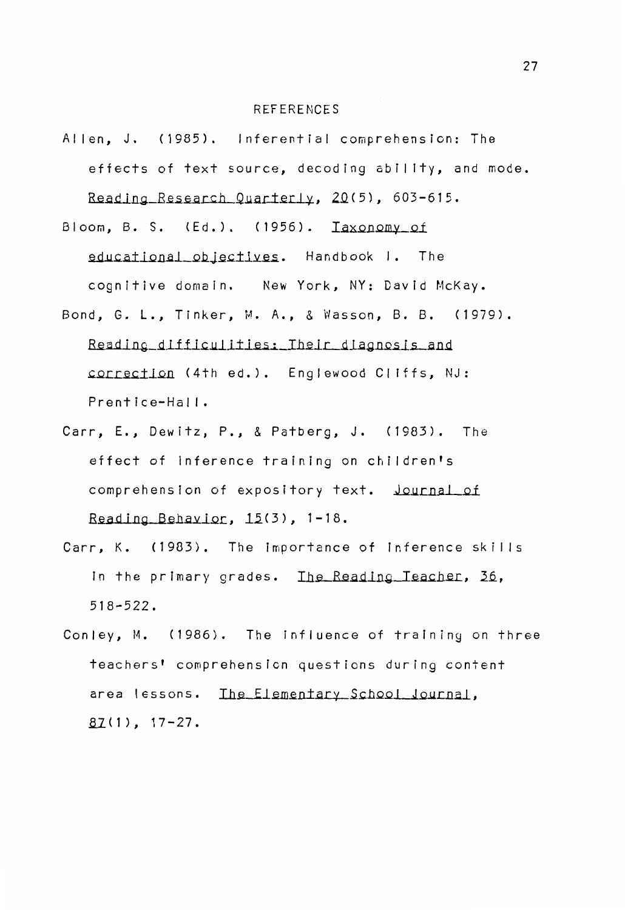#### **REFERENCES**

- Allen, J. (1985). Inferential comprehension: The effects of text source, decoding ability, and mode. Reading\_Research\_Quarterly, 20(5), 603-615.
- Bloom, B. S. (Ed.). (1956). Iaxonomy\_of educational\_objectives. Handbook I. The cognitive domain. New York, NY: David McKay. Bond, G. L., Tinker, M.A., & Wasson, 8. B. (1979).
- Reading difficulities: Their diagnosis and correction (4th ed.). Englewood Cliffs, NJ: Prentice-Hall.
- Carr, E., Dewitz, P., & Patberg, J. (1983). The effect of inference training on children's comprehension of expository text. Journal of Reading Behavior,  $15(3)$ , 1-18.
- Carr, K. (1983). The importance of inference skills in the primary grades. Ihe Reading Teacher, 36, 518-522.
- Conley, M. (1986). The influence of training on three teachers' comprehension questions during content area lessons. The Elementary School Journal,  $87(1)$ , 17-27.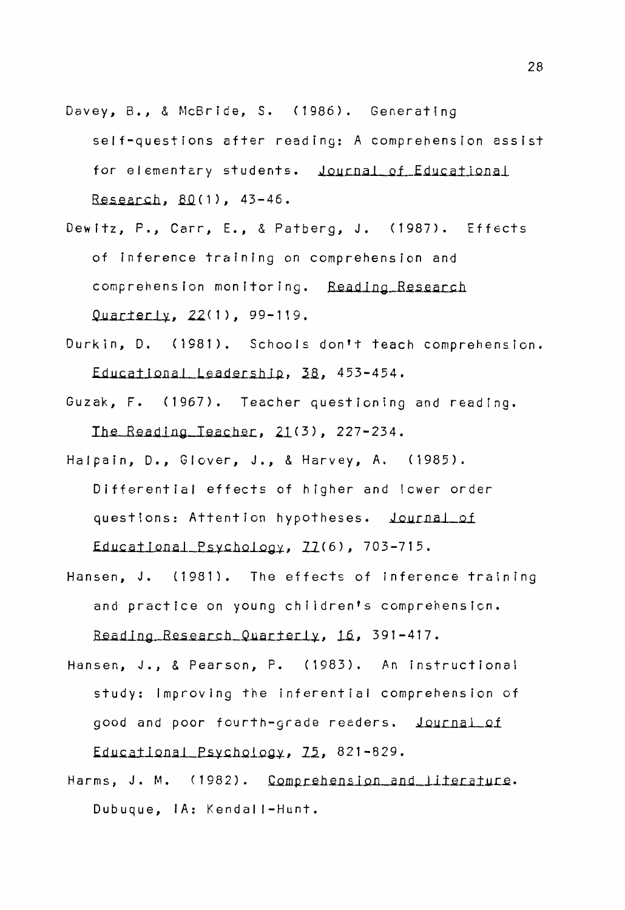- Davey, B., & McBride, S. (1986). Generating self-questions after reading: A comprehension assist for elementary students. Journal of Educational Research, 80(1), 43-46.
- Dewitz, P., Carr, E., & Patberg, J. (1987). Effects of inference training on comprehension and comprehension monitoring. Reading Research Quarterly, 22(1), 99-119.
- Durkin, D. (1981). Schools don't teach comprehension. Educational Leadership, 38, 453-454.
- Guzak, F. (1967). Teacher questioning and reading. Ihe Reading Teacher,  $21(3)$ , 227-234.
- Halpain, D., Glover, J., & Harvey, A. (1985). Differential effects of higher and lower order questions: Attention hypotheses. Journal of  $Educational$   $Psychology$ ,  $703-715$ .
- Hansen, J. (1981). The effects of inference training and practice on young children's comprehension. Reading Research Quarterly, 16, 391-417.
- Hansen, J., & Pearson, P. (1983). An instructional study: Improving the inferential comprehension of good and poor fourth-grade readers. Journal of  $Educational~Psychology, 75, 821-829.$
- Harms, J. M. (1982). Comprehension and literature. Dubuque, IA: Kendal I-Hunt.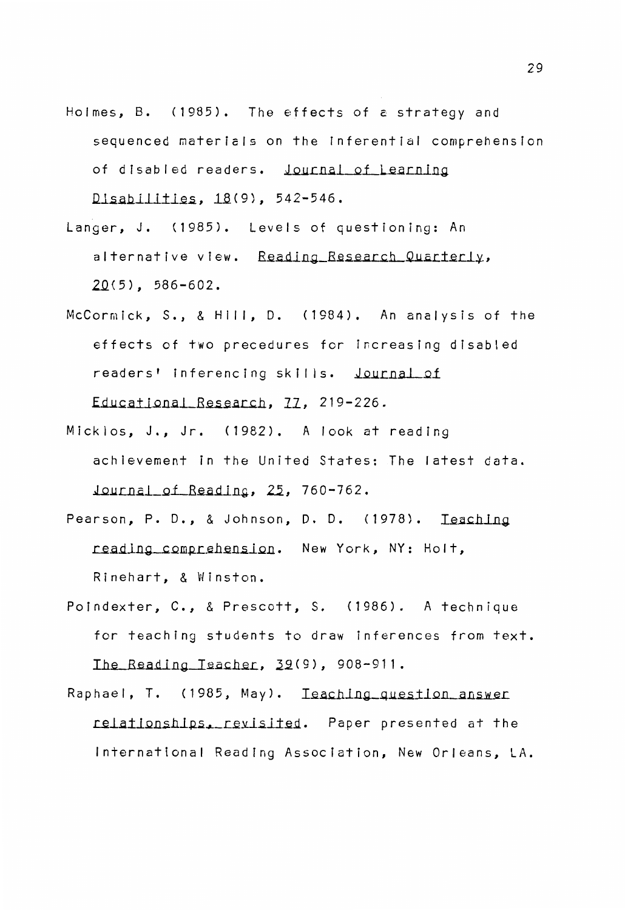- Holmes, B. (1985). The effects of a strategy and sequenced materials on the inferential comprehension of disabled readers. Journal of Learning  $Disability: 18(9)$ , 542-546.
- Langer, J. (1985). Levels of questioning: An alternative view. Reading Research Quarterly, **.2.Q(5),** 586-602.
- McCormick, S., & Hill, D. (1984). An analysis of the effects of two precedures for increasing disabled readers' inferencing skills. Journal of Educational Research, 77, 219-226.
- Micklos, J., Jr. (1982). A look at reading achievement in the United States: The latest data. Journal of Reading, 25, 760-762.
- Pearson, P. D., & Johnson, D. D. (1978). Teaching reading comprehension. New York, NY: Holt, Rinehart, & Winston.
- Poindexter, C., & Prescott, S. (1986). A technique for teaching students to draw inferences from text. Ihe\_Reading\_Teacher, 39(9), 908-911.
- Raphael, T. (1985, May). Ieaching question answer relationships. revisited. Paper presented at the International Reading Association, New Orleans, LA.